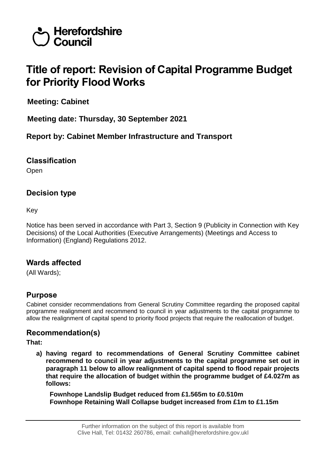

# **Title of report: Revision of Capital Programme Budget for Priority Flood Works**

**Meeting: Cabinet**

**Meeting date: Thursday, 30 September 2021**

**Report by: Cabinet Member Infrastructure and Transport**

## **Classification**

Open

# **Decision type**

Key

Notice has been served in accordance with Part 3, Section 9 (Publicity in Connection with Key Decisions) of the Local Authorities (Executive Arrangements) (Meetings and Access to Information) (England) Regulations 2012.

## **Wards affected**

(All Wards);

# **Purpose**

Cabinet consider recommendations from General Scrutiny Committee regarding the proposed capital programme realignment and recommend to council in year adjustments to the capital programme to allow the realignment of capital spend to priority flood projects that require the reallocation of budget.

# **Recommendation(s)**

**That:**

**a) having regard to recommendations of General Scrutiny Committee cabinet recommend to council in year adjustments to the capital programme set out in paragraph 11 below to allow realignment of capital spend to flood repair projects that require the allocation of budget within the programme budget of £4.027m as follows:**

**Fownhope Landslip Budget reduced from £1.565m to £0.510m Fownhope Retaining Wall Collapse budget increased from £1m to £1.15m**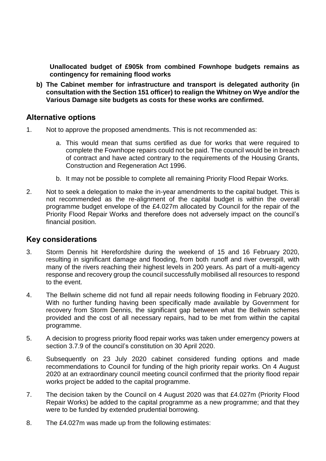**Unallocated budget of £905k from combined Fownhope budgets remains as contingency for remaining flood works**

**b) The Cabinet member for infrastructure and transport is delegated authority (in consultation with the Section 151 officer) to realign the Whitney on Wye and/or the Various Damage site budgets as costs for these works are confirmed.**

#### **Alternative options**

- 1. Not to approve the proposed amendments. This is not recommended as:
	- a. This would mean that sums certified as due for works that were required to complete the Fownhope repairs could not be paid. The council would be in breach of contract and have acted contrary to the requirements of the Housing Grants, Construction and Regeneration Act 1996.
	- b. It may not be possible to complete all remaining Priority Flood Repair Works.
- 2. Not to seek a delegation to make the in-year amendments to the capital budget. This is not recommended as the re-alignment of the capital budget is within the overall programme budget envelope of the £4.027m allocated by Council for the repair of the Priority Flood Repair Works and therefore does not adversely impact on the council's financial position.

#### **Key considerations**

- 3. Storm Dennis hit Herefordshire during the weekend of 15 and 16 February 2020, resulting in significant damage and flooding, from both runoff and river overspill, with many of the rivers reaching their highest levels in 200 years. As part of a multi-agency response and recovery group the council successfully mobilised all resources to respond to the event.
- 4. The Bellwin scheme did not fund all repair needs following flooding in February 2020. With no further funding having been specifically made available by Government for recovery from Storm Dennis, the significant gap between what the Bellwin schemes provided and the cost of all necessary repairs, had to be met from within the capital programme.
- 5. A decision to progress priority flood repair works was taken under emergency powers at section 3.7.9 of the council's constitution on 30 April 2020.
- 6. Subsequently on 23 July 2020 cabinet considered funding options and made recommendations to Council for funding of the high priority repair works. On 4 August 2020 at an extraordinary council meeting council confirmed that the priority flood repair works project be added to the capital programme.
- 7. The decision taken by the Council on 4 August 2020 was that £4.027m (Priority Flood Repair Works) be added to the capital programme as a new programme; and that they were to be funded by extended prudential borrowing.
- 8. The £4.027m was made up from the following estimates: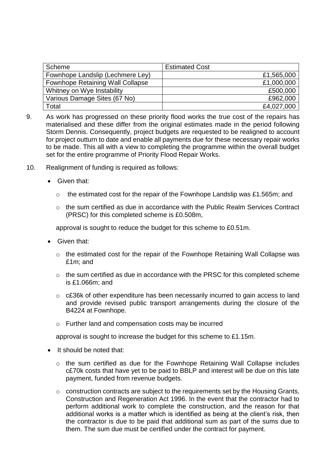| Scheme                                  | <b>Estimated Cost</b> |
|-----------------------------------------|-----------------------|
| Fownhope Landslip (Lechmere Ley)        | £1,565,000            |
| <b>Fownhope Retaining Wall Collapse</b> | £1,000,000            |
| Whitney on Wye Instability              | £500,000              |
| Various Damage Sites (67 No)            | £962,000              |
| Total                                   | £4,027,000            |

- 9. As work has progressed on these priority flood works the true cost of the repairs has materialised and these differ from the original estimates made in the period following Storm Dennis. Consequently, project budgets are requested to be realigned to account for project outturn to date and enable all payments due for these necessary repair works to be made. This all with a view to completing the programme within the overall budget set for the entire programme of Priority Flood Repair Works.
- 10. Realignment of funding is required as follows:
	- Given that:
		- $\circ$  the estimated cost for the repair of the Fownhope Landslip was £1.565m; and
		- $\circ$  the sum certified as due in accordance with the Public Realm Services Contract (PRSC) for this completed scheme is £0.508m,

approval is sought to reduce the budget for this scheme to £0.51m.

- Given that:
	- o the estimated cost for the repair of the Fownhope Retaining Wall Collapse was £1m; and
	- $\circ$  the sum certified as due in accordance with the PRSC for this completed scheme is £1.066m; and
	- o c£36k of other expenditure has been necessarily incurred to gain access to land and provide revised public transport arrangements during the closure of the B4224 at Fownhope.
	- o Further land and compensation costs may be incurred

approval is sought to increase the budget for this scheme to £1.15m.

- It should be noted that:
	- o the sum certified as due for the Fownhope Retaining Wall Collapse includes c£70k costs that have yet to be paid to BBLP and interest will be due on this late payment, funded from revenue budgets.
	- o construction contracts are subject to the requirements set by the Housing Grants, Construction and Regeneration Act 1996. In the event that the contractor had to perform additional work to complete the construction, and the reason for that additional works is a matter which is identified as being at the client's risk, then the contractor is due to be paid that additional sum as part of the sums due to them. The sum due must be certified under the contract for payment.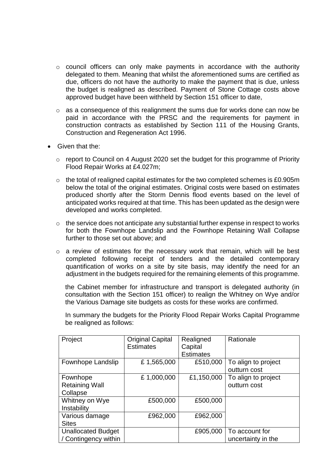- o council officers can only make payments in accordance with the authority delegated to them. Meaning that whilst the aforementioned sums are certified as due, officers do not have the authority to make the payment that is due, unless the budget is realigned as described. Payment of Stone Cottage costs above approved budget have been withheld by Section 151 officer to date,
- o as a consequence of this realignment the sums due for works done can now be paid in accordance with the PRSC and the requirements for payment in construction contracts as established by Section 111 of the Housing Grants, Construction and Regeneration Act 1996.
- Given that the:
	- o report to Council on 4 August 2020 set the budget for this programme of Priority Flood Repair Works at £4.027m;
	- o the total of realigned capital estimates for the two completed schemes is £0.905m below the total of the original estimates. Original costs were based on estimates produced shortly after the Storm Dennis flood events based on the level of anticipated works required at that time. This has been updated as the design were developed and works completed.
	- o the service does not anticipate any substantial further expense in respect to works for both the Fownhope Landslip and the Fownhope Retaining Wall Collapse further to those set out above; and
	- $\circ$  a review of estimates for the necessary work that remain, which will be best completed following receipt of tenders and the detailed contemporary quantification of works on a site by site basis, may identify the need for an adjustment in the budgets required for the remaining elements of this programme.

the Cabinet member for infrastructure and transport is delegated authority (in consultation with the Section 151 officer) to realign the Whitney on Wye and/or the Various Damage site budgets as costs for these works are confirmed.

In summary the budgets for the Priority Flood Repair Works Capital Programme be realigned as follows:

| Project                   | <b>Original Capital</b> | Realigned        | Rationale           |
|---------------------------|-------------------------|------------------|---------------------|
|                           | <b>Estimates</b>        | Capital          |                     |
|                           |                         | <b>Estimates</b> |                     |
| Fownhope Landslip         | £1,565,000              | £510,000         | To align to project |
|                           |                         |                  | outturn cost        |
| Fownhope                  | £1,000,000              | £1,150,000       | To align to project |
| <b>Retaining Wall</b>     |                         |                  | outturn cost        |
| Collapse                  |                         |                  |                     |
| Whitney on Wye            | £500,000                | £500,000         |                     |
| Instability               |                         |                  |                     |
| Various damage            | £962,000                | £962,000         |                     |
| <b>Sites</b>              |                         |                  |                     |
| <b>Unallocated Budget</b> |                         | £905,000         | To account for      |
| / Contingency within      |                         |                  | uncertainty in the  |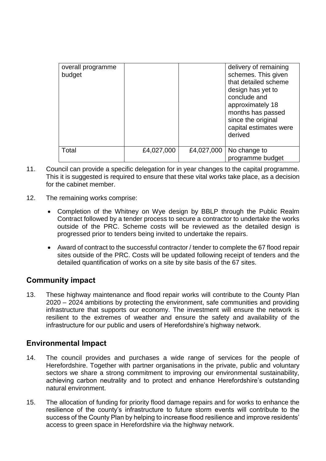| overall programme<br>budget |            |            | delivery of remaining<br>schemes. This given<br>that detailed scheme<br>design has yet to<br>conclude and<br>approximately 18<br>months has passed<br>since the original<br>capital estimates were<br>derived |
|-----------------------------|------------|------------|---------------------------------------------------------------------------------------------------------------------------------------------------------------------------------------------------------------|
| Total                       | £4,027,000 | £4,027,000 | No change to<br>programme budget                                                                                                                                                                              |

- 11. Council can provide a specific delegation for in year changes to the capital programme. This it is suggested is required to ensure that these vital works take place, as a decision for the cabinet member.
- 12. The remaining works comprise:
	- Completion of the Whitney on Wye design by BBLP through the Public Realm Contract followed by a tender process to secure a contractor to undertake the works outside of the PRC. Scheme costs will be reviewed as the detailed design is progressed prior to tenders being invited to undertake the repairs.
	- Award of contract to the successful contractor / tender to complete the 67 flood repair sites outside of the PRC. Costs will be updated following receipt of tenders and the detailed quantification of works on a site by site basis of the 67 sites.

## **Community impact**

13. These highway maintenance and flood repair works will contribute to the County Plan 2020 – 2024 ambitions by protecting the environment, safe communities and providing infrastructure that supports our economy. The investment will ensure the network is resilient to the extremes of weather and ensure the safety and availability of the infrastructure for our public and users of Herefordshire's highway network.

## **Environmental Impact**

- 14. The council provides and purchases a wide range of services for the people of Herefordshire. Together with partner organisations in the private, public and voluntary sectors we share a strong commitment to improving our environmental sustainability, achieving carbon neutrality and to protect and enhance Herefordshire's outstanding natural environment.
- 15. The allocation of funding for priority flood damage repairs and for works to enhance the resilience of the county's infrastructure to future storm events will contribute to the success of the County Plan by helping to increase flood resilience and improve residents' access to green space in Herefordshire via the highway network.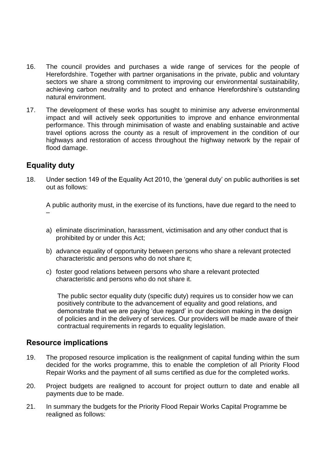- 16. The council provides and purchases a wide range of services for the people of Herefordshire. Together with partner organisations in the private, public and voluntary sectors we share a strong commitment to improving our environmental sustainability, achieving carbon neutrality and to protect and enhance Herefordshire's outstanding natural environment.
- 17. The development of these works has sought to minimise any adverse environmental impact and will actively seek opportunities to improve and enhance environmental performance. This through minimisation of waste and enabling sustainable and active travel options across the county as a result of improvement in the condition of our highways and restoration of access throughout the highway network by the repair of flood damage.

#### **Equality duty**

18. Under section 149 of the Equality Act 2010, the 'general duty' on public authorities is set out as follows:

A public authority must, in the exercise of its functions, have due regard to the need to –

- a) eliminate discrimination, harassment, victimisation and any other conduct that is prohibited by or under this Act;
- b) advance equality of opportunity between persons who share a relevant protected characteristic and persons who do not share it;
- c) foster good relations between persons who share a relevant protected characteristic and persons who do not share it.

The public sector equality duty (specific duty) requires us to consider how we can positively contribute to the advancement of equality and good relations, and demonstrate that we are paying 'due regard' in our decision making in the design of policies and in the delivery of services. Our providers will be made aware of their contractual requirements in regards to equality legislation.

#### **Resource implications**

- 19. The proposed resource implication is the realignment of capital funding within the sum decided for the works programme, this to enable the completion of all Priority Flood Repair Works and the payment of all sums certified as due for the completed works.
- 20. Project budgets are realigned to account for project outturn to date and enable all payments due to be made.
- 21. In summary the budgets for the Priority Flood Repair Works Capital Programme be realigned as follows: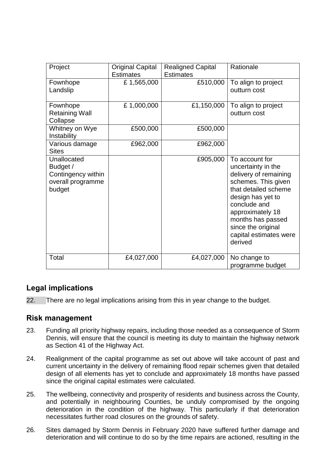| Project                                                                      | <b>Original Capital</b><br><b>Estimates</b> | <b>Realigned Capital</b><br><b>Estimates</b> | Rationale                                                                                                                                                                                                                                             |
|------------------------------------------------------------------------------|---------------------------------------------|----------------------------------------------|-------------------------------------------------------------------------------------------------------------------------------------------------------------------------------------------------------------------------------------------------------|
| Fownhope<br>Landslip                                                         | £1,565,000                                  | £510,000                                     | To align to project<br>outturn cost                                                                                                                                                                                                                   |
| Fownhope<br><b>Retaining Wall</b><br>Collapse                                | £1,000,000                                  | £1,150,000                                   | To align to project<br>outturn cost                                                                                                                                                                                                                   |
| Whitney on Wye<br>Instability                                                | £500,000                                    | £500,000                                     |                                                                                                                                                                                                                                                       |
| Various damage<br><b>Sites</b>                                               | £962,000                                    | £962,000                                     |                                                                                                                                                                                                                                                       |
| Unallocated<br>Budget /<br>Contingency within<br>overall programme<br>budget |                                             | £905,000                                     | To account for<br>uncertainty in the<br>delivery of remaining<br>schemes. This given<br>that detailed scheme<br>design has yet to<br>conclude and<br>approximately 18<br>months has passed<br>since the original<br>capital estimates were<br>derived |
| Total                                                                        | £4,027,000                                  | £4,027,000                                   | No change to<br>programme budget                                                                                                                                                                                                                      |

## **Legal implications**

22. There are no legal implications arising from this in year change to the budget.

#### **Risk management**

- 23. Funding all priority highway repairs, including those needed as a consequence of Storm Dennis, will ensure that the council is meeting its duty to maintain the highway network as Section 41 of the Highway Act.
- 24. Realignment of the capital programme as set out above will take account of past and current uncertainty in the delivery of remaining flood repair schemes given that detailed design of all elements has yet to conclude and approximately 18 months have passed since the original capital estimates were calculated.
- 25. The wellbeing, connectivity and prosperity of residents and business across the County, and potentially in neighbouring Counties, be unduly compromised by the ongoing deterioration in the condition of the highway. This particularly if that deterioration necessitates further road closures on the grounds of safety.
- 26. Sites damaged by Storm Dennis in February 2020 have suffered further damage and deterioration and will continue to do so by the time repairs are actioned, resulting in the